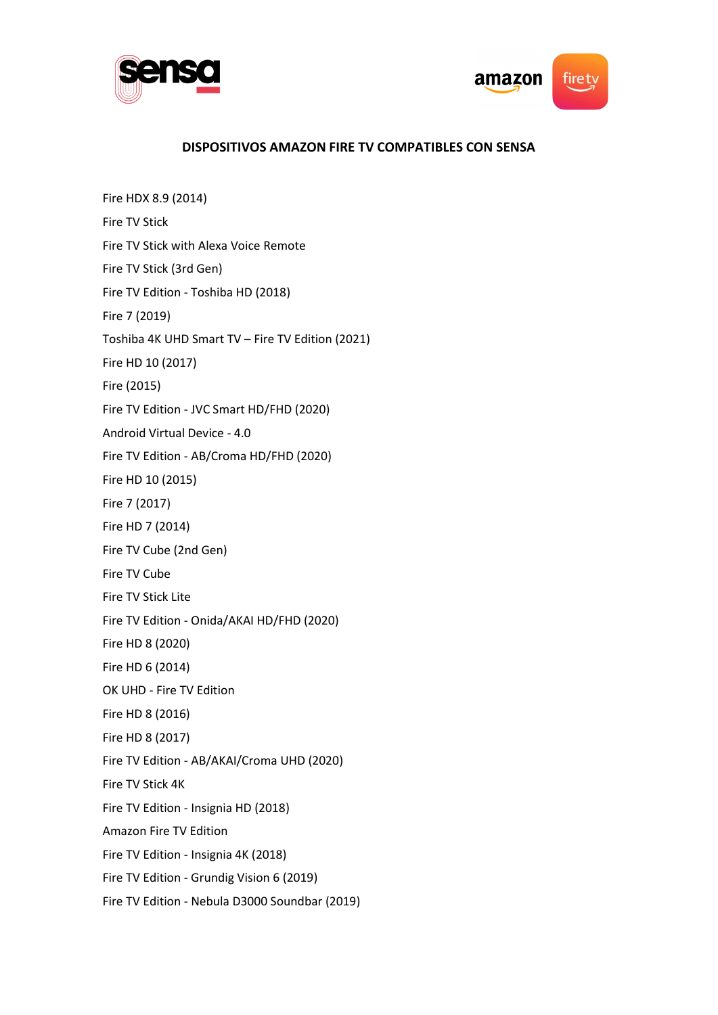



## **DISPOSITIVOS AMAZON FIRE TV COMPATIBLES CON SENSA**

Fire HDX 8.9 (2014) Fire TV Stick Fire TV Stick with Alexa Voice Remote Fire TV Stick (3rd Gen) Fire TV Edition - Toshiba HD (2018) Fire 7 (2019) Toshiba 4K UHD Smart TV – Fire TV Edition (2021) Fire HD 10 (2017) Fire (2015) Fire TV Edition - JVC Smart HD/FHD (2020) Android Virtual Device - 4.0 Fire TV Edition - AB/Croma HD/FHD (2020) Fire HD 10 (2015) Fire 7 (2017) Fire HD 7 (2014) Fire TV Cube (2nd Gen) Fire TV Cube Fire TV Stick Lite Fire TV Edition - Onida/AKAI HD/FHD (2020) Fire HD 8 (2020) Fire HD 6 (2014) OK UHD - Fire TV Edition Fire HD 8 (2016) Fire HD 8 (2017) Fire TV Edition - AB/AKAI/Croma UHD (2020) Fire TV Stick 4K Fire TV Edition - Insignia HD (2018) Amazon Fire TV Edition Fire TV Edition - Insignia 4K (2018) Fire TV Edition - Grundig Vision 6 (2019) Fire TV Edition - Nebula D3000 Soundbar (2019)